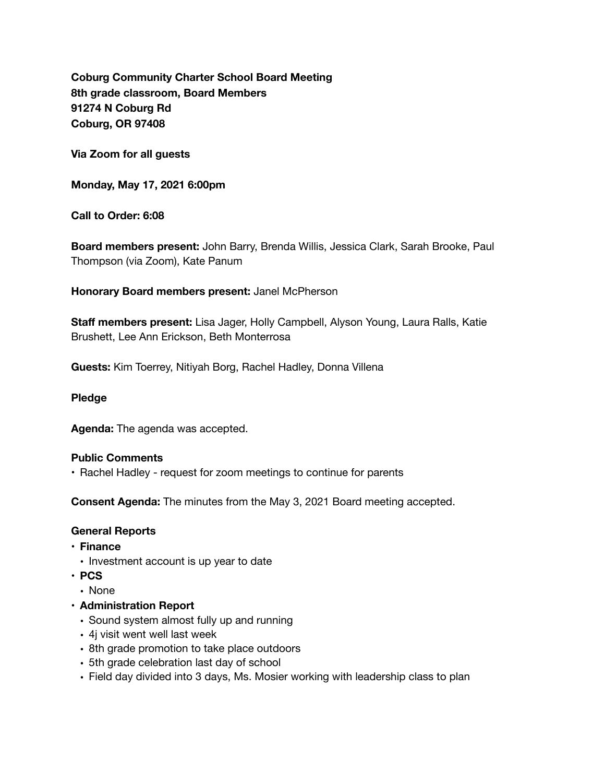**Coburg Community Charter School Board Meeting 8th grade classroom, Board Members 91274 N Coburg Rd Coburg, OR 97408** 

**Via Zoom for all guests** 

**Monday, May 17, 2021 6:00pm** 

**Call to Order: 6:08** 

**Board members present:** John Barry, Brenda Willis, Jessica Clark, Sarah Brooke, Paul Thompson (via Zoom), Kate Panum

**Honorary Board members present:** Janel McPherson

**Staff members present:** Lisa Jager, Holly Campbell, Alyson Young, Laura Ralls, Katie Brushett, Lee Ann Erickson, Beth Monterrosa

**Guests:** Kim Toerrey, Nitiyah Borg, Rachel Hadley, Donna Villena

#### **Pledge**

**Agenda:** The agenda was accepted.

#### **Public Comments**

• Rachel Hadley - request for zoom meetings to continue for parents

**Consent Agenda:** The minutes from the May 3, 2021 Board meeting accepted.

#### **General Reports**

- **• Finance** 
	- Investment account is up year to date
- **• PCS** 
	- None
- **• Administration Report** 
	- Sound system almost fully up and running
	- 4j visit went well last week
	- 8th grade promotion to take place outdoors
	- 5th grade celebration last day of school
	- Field day divided into 3 days, Ms. Mosier working with leadership class to plan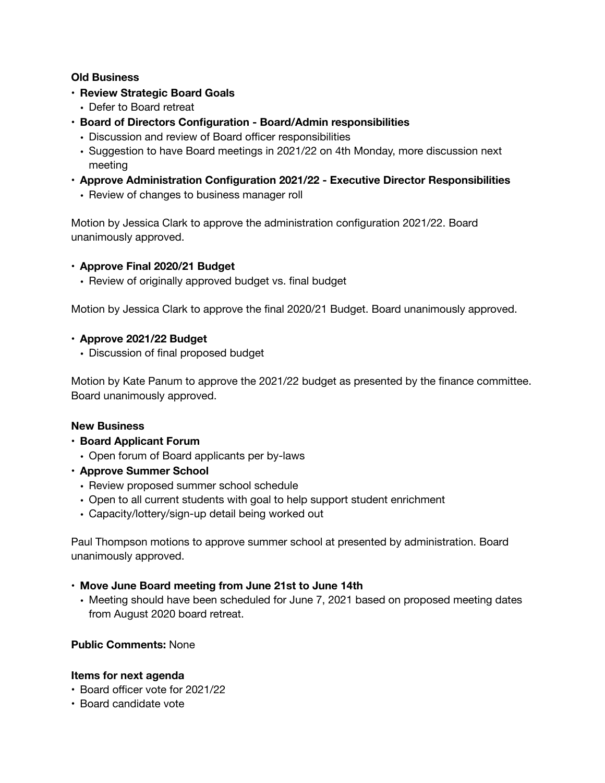# **Old Business**

- **• Review Strategic Board Goals** 
	- Defer to Board retreat
- **• Board of Directors Configuration Board/Admin responsibilities** 
	- Discussion and review of Board officer responsibilities
	- Suggestion to have Board meetings in 2021/22 on 4th Monday, more discussion next meeting
- **• Approve Administration Configuration 2021/22 Executive Director Responsibilities** 
	- Review of changes to business manager roll

Motion by Jessica Clark to approve the administration configuration 2021/22. Board unanimously approved.

# **• Approve Final 2020/21 Budget**

• Review of originally approved budget vs. final budget

Motion by Jessica Clark to approve the final 2020/21 Budget. Board unanimously approved.

# **• Approve 2021/22 Budget**

• Discussion of final proposed budget

Motion by Kate Panum to approve the 2021/22 budget as presented by the finance committee. Board unanimously approved.

## **New Business**

- **• Board Applicant Forum** 
	- Open forum of Board applicants per by-laws
- **• Approve Summer School** 
	- Review proposed summer school schedule
	- Open to all current students with goal to help support student enrichment
	- Capacity/lottery/sign-up detail being worked out

Paul Thompson motions to approve summer school at presented by administration. Board unanimously approved.

## **• Move June Board meeting from June 21st to June 14th**

• Meeting should have been scheduled for June 7, 2021 based on proposed meeting dates from August 2020 board retreat.

# **Public Comments:** None

## **Items for next agenda**

- Board officer vote for 2021/22
- Board candidate vote